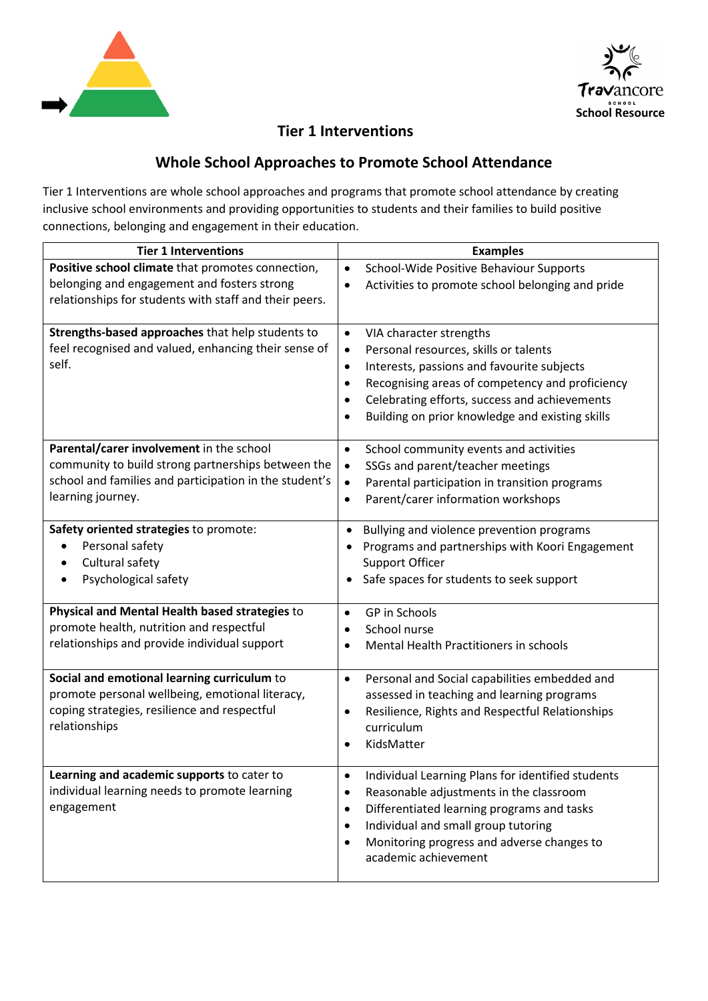



## **Tier 1 Interventions**

## **Whole School Approaches to Promote School Attendance**

Tier 1 Interventions are whole school approaches and programs that promote school attendance by creating inclusive school environments and providing opportunities to students and their families to build positive connections, belonging and engagement in their education.

| <b>Tier 1 Interventions</b>                                                                           | <b>Examples</b>                                                                 |
|-------------------------------------------------------------------------------------------------------|---------------------------------------------------------------------------------|
| Positive school climate that promotes connection,                                                     | School-Wide Positive Behaviour Supports<br>$\bullet$                            |
| belonging and engagement and fosters strong<br>relationships for students with staff and their peers. | Activities to promote school belonging and pride<br>٠                           |
| Strengths-based approaches that help students to                                                      | VIA character strengths<br>$\bullet$                                            |
| feel recognised and valued, enhancing their sense of                                                  | Personal resources, skills or talents<br>$\bullet$                              |
| self.                                                                                                 | Interests, passions and favourite subjects<br>$\bullet$                         |
|                                                                                                       | Recognising areas of competency and proficiency<br>$\bullet$                    |
|                                                                                                       | Celebrating efforts, success and achievements                                   |
|                                                                                                       | Building on prior knowledge and existing skills<br>$\bullet$                    |
| Parental/carer involvement in the school                                                              | School community events and activities<br>$\bullet$                             |
| community to build strong partnerships between the                                                    | SSGs and parent/teacher meetings<br>$\bullet$                                   |
| school and families and participation in the student's                                                | Parental participation in transition programs<br>$\bullet$                      |
| learning journey.                                                                                     | Parent/carer information workshops<br>$\bullet$                                 |
| Safety oriented strategies to promote:                                                                | Bullying and violence prevention programs<br>$\bullet$                          |
| Personal safety                                                                                       | Programs and partnerships with Koori Engagement                                 |
| Cultural safety                                                                                       | <b>Support Officer</b>                                                          |
| Psychological safety                                                                                  | Safe spaces for students to seek support                                        |
| Physical and Mental Health based strategies to                                                        | GP in Schools<br>$\bullet$                                                      |
| promote health, nutrition and respectful                                                              | School nurse<br>$\bullet$                                                       |
| relationships and provide individual support                                                          | Mental Health Practitioners in schools                                          |
| Social and emotional learning curriculum to                                                           | Personal and Social capabilities embedded and<br>$\bullet$                      |
| promote personal wellbeing, emotional literacy,                                                       | assessed in teaching and learning programs                                      |
| coping strategies, resilience and respectful                                                          | Resilience, Rights and Respectful Relationships<br>٠                            |
| relationships                                                                                         | curriculum                                                                      |
|                                                                                                       | KidsMatter<br>$\bullet$                                                         |
| Learning and academic supports to cater to                                                            | Individual Learning Plans for identified students                               |
| individual learning needs to promote learning                                                         | Reasonable adjustments in the classroom<br>$\bullet$                            |
| engagement                                                                                            | Differentiated learning programs and tasks<br>$\bullet$                         |
|                                                                                                       | Individual and small group tutoring<br>$\bullet$                                |
|                                                                                                       | Monitoring progress and adverse changes to<br>$\bullet$<br>academic achievement |
|                                                                                                       |                                                                                 |